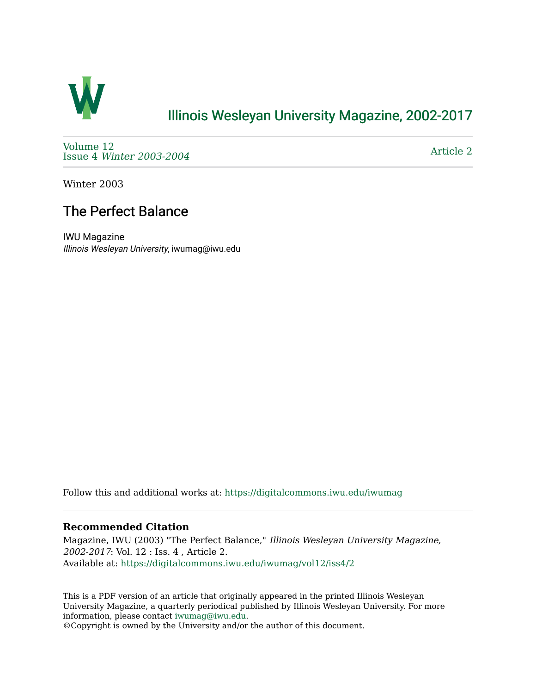

## [Illinois Wesleyan University Magazine, 2002-2017](https://digitalcommons.iwu.edu/iwumag)

[Volume 12](https://digitalcommons.iwu.edu/iwumag/vol12)  Issue 4 [Winter 2003-2004](https://digitalcommons.iwu.edu/iwumag/vol12/iss4)

[Article 2](https://digitalcommons.iwu.edu/iwumag/vol12/iss4/2) 

Winter 2003

## The Perfect Balance

IWU Magazine Illinois Wesleyan University, iwumag@iwu.edu

Follow this and additional works at: [https://digitalcommons.iwu.edu/iwumag](https://digitalcommons.iwu.edu/iwumag?utm_source=digitalcommons.iwu.edu%2Fiwumag%2Fvol12%2Fiss4%2F2&utm_medium=PDF&utm_campaign=PDFCoverPages) 

## **Recommended Citation**

Magazine, IWU (2003) "The Perfect Balance," Illinois Wesleyan University Magazine, 2002-2017: Vol. 12 : Iss. 4 , Article 2. Available at: [https://digitalcommons.iwu.edu/iwumag/vol12/iss4/2](https://digitalcommons.iwu.edu/iwumag/vol12/iss4/2?utm_source=digitalcommons.iwu.edu%2Fiwumag%2Fvol12%2Fiss4%2F2&utm_medium=PDF&utm_campaign=PDFCoverPages)

This is a PDF version of an article that originally appeared in the printed Illinois Wesleyan University Magazine, a quarterly periodical published by Illinois Wesleyan University. For more information, please contact [iwumag@iwu.edu](mailto:iwumag@iwu.edu).

©Copyright is owned by the University and/or the author of this document.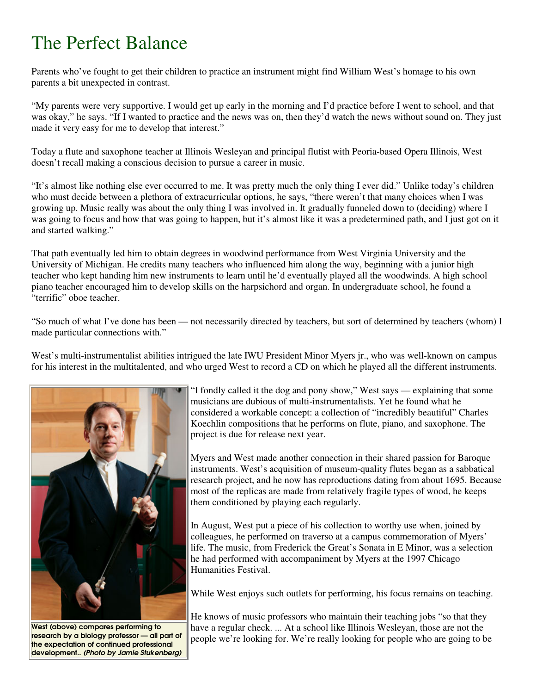## The Perfect Balance

Parents who've fought to get their children to practice an instrument might find William West's homage to his own parents a bit unexpected in contrast.

"My parents were very supportive. I would get up early in the morning and I'd practice before I went to school, and that was okay," he says. "If I wanted to practice and the news was on, then they'd watch the news without sound on. They just made it very easy for me to develop that interest."

Today a flute and saxophone teacher at Illinois Wesleyan and principal flutist with Peoria-based Opera Illinois, West doesn't recall making a conscious decision to pursue a career in music.

"It's almost like nothing else ever occurred to me. It was pretty much the only thing I ever did." Unlike today's children who must decide between a plethora of extracurricular options, he says, "there weren't that many choices when I was growing up. Music really was about the only thing I was involved in. It gradually funneled down to (deciding) where I was going to focus and how that was going to happen, but it's almost like it was a predetermined path, and I just got on it and started walking."

That path eventually led him to obtain degrees in woodwind performance from West Virginia University and the University of Michigan. He credits many teachers who influenced him along the way, beginning with a junior high teacher who kept handing him new instruments to learn until he'd eventually played all the woodwinds. A high school piano teacher encouraged him to develop skills on the harpsichord and organ. In undergraduate school, he found a "terrific" oboe teacher.

"So much of what I've done has been — not necessarily directed by teachers, but sort of determined by teachers (whom) I made particular connections with."

West's multi-instrumentalist abilities intrigued the late IWU President Minor Myers jr., who was well-known on campus for his interest in the multitalented, and who urged West to record a CD on which he played all the different instruments.



West (above) compares performing to research by a biology professor — all part of the expectation of continued professional development.. (Photo by Jamie Stukenberg)

"I fondly called it the dog and pony show," West says — explaining that some musicians are dubious of multi-instrumentalists. Yet he found what he considered a workable concept: a collection of "incredibly beautiful" Charles Koechlin compositions that he performs on flute, piano, and saxophone. The project is due for release next year.

Myers and West made another connection in their shared passion for Baroque instruments. West's acquisition of museum-quality flutes began as a sabbatical research project, and he now has reproductions dating from about 1695. Because most of the replicas are made from relatively fragile types of wood, he keeps them conditioned by playing each regularly.

In August, West put a piece of his collection to worthy use when, joined by colleagues, he performed on traverso at a campus commemoration of Myers' life. The music, from Frederick the Great's Sonata in E Minor, was a selection he had performed with accompaniment by Myers at the 1997 Chicago Humanities Festival.

While West enjoys such outlets for performing, his focus remains on teaching.

He knows of music professors who maintain their teaching jobs "so that they have a regular check. ... At a school like Illinois Wesleyan, those are not the people we're looking for. We're really looking for people who are going to be